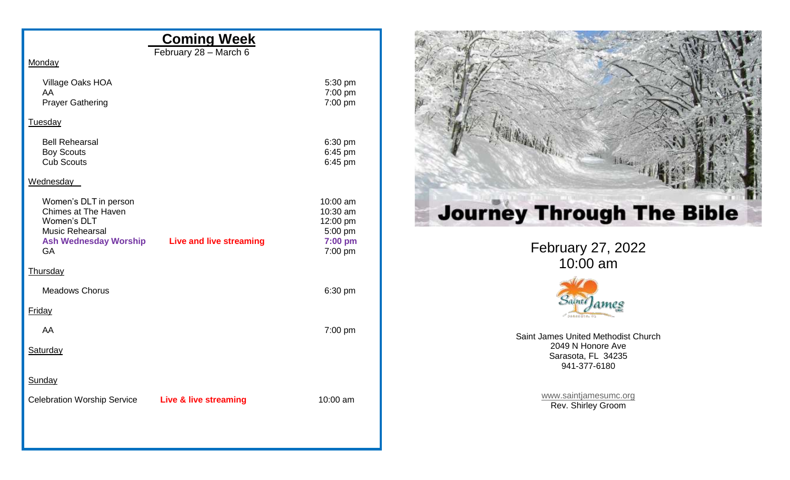## **Coming Week**

February 28 – March 6

**Monday** 

| Village Oaks HOA<br>AA<br><b>Prayer Gathering</b>                                                                                  |                                | 5:30 pm<br>7:00 pm<br>7:00 pm                                     |
|------------------------------------------------------------------------------------------------------------------------------------|--------------------------------|-------------------------------------------------------------------|
| Tuesday                                                                                                                            |                                |                                                                   |
| <b>Bell Rehearsal</b><br><b>Boy Scouts</b><br><b>Cub Scouts</b>                                                                    |                                | 6:30 pm<br>6:45 pm<br>6:45 pm                                     |
| Wednesday                                                                                                                          |                                |                                                                   |
| Women's DLT in person<br>Chimes at The Haven<br>Women's DLT<br><b>Music Rehearsal</b><br><b>Ash Wednesday Worship</b><br><b>GA</b> | <b>Live and live streaming</b> | 10:00 am<br>10:30 am<br>12:00 pm<br>5:00 pm<br>7:00 pm<br>7:00 pm |
| Thursday                                                                                                                           |                                |                                                                   |
| <b>Meadows Chorus</b>                                                                                                              |                                | 6:30 pm                                                           |
| Friday                                                                                                                             |                                |                                                                   |
| AA                                                                                                                                 |                                | 7:00 pm                                                           |
| Saturday                                                                                                                           |                                |                                                                   |
| Sunday                                                                                                                             |                                |                                                                   |
| <b>Celebration Worship Service</b>                                                                                                 | Live & live streaming          | 10:00 am                                                          |
|                                                                                                                                    |                                |                                                                   |



February 27, 2022 10:00 am



Saint James United Methodist Church 2049 N Honore Ave Sarasota, FL 34235 941-377-6180

> [www.saintjamesumc.org](http://www.saintjamesumc.org/) Rev. Shirley Groom